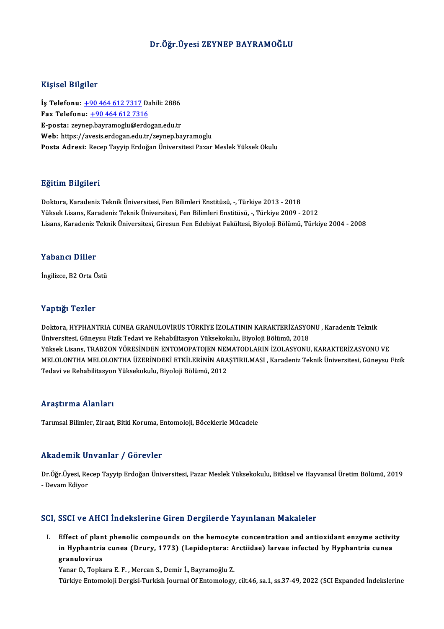# Dr.Öğr.Üyesi ZEYNEP BAYRAMOĞLU

# Kişisel Bilgiler

Kişisel Bilgiler<br>İş Telefonu: <u>+90 464 612 7317</u> Dahili: 2886<br>Fax Telefonu: 190 464 612 7316 11.91001 D1151101<br>İş Telefonu: <u>+90 464 612 7317</u> D2<br>Fax Telefonu: <u>+90 464 612 7316</u><br>Fansta: seymen beyrəməsiy@erde Fax Telefonu:  $\pm 904646127316$ <br>E-posta: zey[nep](tel:+90 464 612 7317)[.bayramoglu@erdo](tel:+90 464 612 7316)gan.edu.tr Web: https://avesis.erdogan.edu.tr/zeynep.bayramoglu Posta Adresi: Recep Tayyip Erdoğan Üniversitesi Pazar Meslek Yüksek Okulu

## Eğitim Bilgileri

Doktora, Karadeniz Teknik Üniversitesi, Fen Bilimleri Enstitüsü, -, Türkiye 2013 - 2018 Yüksek Lisans, Karadeniz Teknik Üniversitesi, Fen Bilimleri Enstitüsü, -, Türkiye 2009 - 2012 Lisans, Karadeniz Teknik Üniversitesi, Giresun Fen Edebiyat Fakültesi, Biyoloji Bölümü, Türkiye 2004 - 2008

## Yabancı Diller

İngilizce,B2OrtaÜstü

## Yaptığı Tezler

Doktora, HYPHANTRIA CUNEA GRANULOVİRÜS TÜRKİYE İZOLATININ KARAKTERİZASYONU, Karadeniz Teknik Üniversitesi, Güneysu Fizik Tedavi ve Rehabilitasyon Yüksekokulu, Biyoloji Bölümü, 2018 Doktora, HYPHANTRIA CUNEA GRANULOVİRÜS TÜRKİYE İZOLATININ KARAKTERİZASYONU , Karadeniz Teknik<br>Üniversitesi, Güneysu Fizik Tedavi ve Rehabilitasyon Yüksekokulu, Biyoloji Bölümü, 2018<br>Yüksek Lisans, TRABZON YÖRESİNDEN ENTOMO MELOLONTHA MELOLONTHA ÜZERİNDEKİ ETKİLERİNİN ARAŞTIRILMASI , Karadeniz Teknik Üniversitesi, Güneysu Fizik<br>Tedavi ve Rehabilitasyon Yüksekokulu, Biyoloji Bölümü, 2012 Yüksek Lisans, TRABZON YÖRESİNDEN ENTOMOPATOJEN NEN<br>MELOLONTHA MELOLONTHA ÜZERİNDEKİ ETKİLERİNİN ARA<br>Tedavi ve Rehabilitasyon Yüksekokulu, Biyoloji Bölümü, 2012

## Araştırma Alanları

Tarımsal Bilimler, Ziraat, Bitki Koruma, Entomoloji, Böceklerle Mücadele

# Akademik Unvanlar / Görevler

Dr.Öğr.Üyesi, Recep Tayyip Erdoğan Üniversitesi, Pazar Meslek Yüksekokulu, Bitkisel ve Hayvansal Üretim Bölümü, 2019 - Devam Ediyor

# SCI, SSCI ve AHCI İndekslerine Giren Dergilerde Yayınlanan Makaleler

CI, SSCI ve AHCI Indekslerine Giren Dergilerde Yayınlanan Makaleler<br>I. Effect of plant phenolic compounds on the hemocyte concentration and antioxidant enzyme activity<br>in Hyphontria sunse (Drury, 1773) (Lonidantera: Arstil Boot vo finds indonotering an on-or-orginal cultural manufactories<br>Effect of plant phenolic compounds on the hemocyte concentration and antioxidant enzyme activit<br>in Hyphantria cunea (Drury, 1773) (Lepidoptera: Arctiidae) Effect of plan<br>in Hyphantria<br>granulovirus<br><sup>Vonor O</sup> Ton<sup>io</sup> in Hyphantria cunea (Drury, 1773) (Lepidoptera: A<br>granulovirus<br>Yanar O., Topkara E. F. , Mercan S., Demir İ., Bayramoğlu Z.<br>Türkiye Entemoloji Dergisi Turkish Journal Of Entemology <mark>granulovirus</mark><br>Yanar O., Topkara E. F. , Mercan S., Demir İ., Bayramoğlu Z.<br>Türkiye Entomoloji Dergisi-Turkish Journal Of Entomology, cilt.46, sa.1, ss.37-49, 2022 (SCI Expanded İndekslerine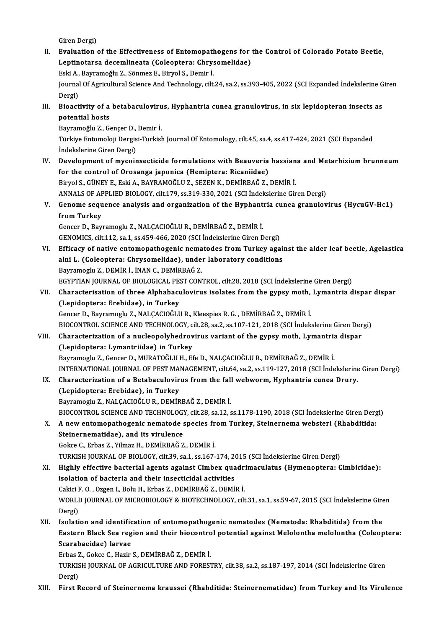- Giren Dergi) Giren Dergi)<br>II. Evaluation of the Effectiveness of Entomopathogens for the Control of Colorado Potato Beetle,<br>Lontingtage desemlinests (Coloenters: Chrysemalidee) Giren Dergi)<br>Evaluation of the Effectiveness of Entomopathogens for<br>Leptinotarsa decemlineata (Coleoptera: Chrysomelidae)<br>Feki A. Permameğlu 7. Sönmer E. Biwel S. Demin İ Evaluation of the Effectiveness of Entomopath<br>Leptinotarsa decemlineata (Coleoptera: Chrys<br>Eski A., Bayramoğlu Z., Sönmez E., Biryol S., Demir İ.<br>Journal Of Agricultural Science And Technologu, cilt Leptinotarsa decemlineata (Coleoptera: Chrysomelidae)<br>Eski A., Bayramoğlu Z., Sönmez E., Biryol S., Demir İ.<br>Journal Of Agricultural Science And Technology, cilt.24, sa.2, ss.393-405, 2022 (SCI Expanded İndekslerine Giren<br> Eski A.,<br>Journal<br>Dergi)<br>Pioact Journal Of Agricultural Science And Technology, cilt.24, sa.2, ss.393-405, 2022 (SCI Expanded Indekslerine G<br>Dergi)<br>III. Bioactivity of a betabaculovirus, Hyphantria cunea granulovirus, in six lepidopteran insects as<br>noten Dergi)<br>Bioactivity of a<br>potential hosts<br><sup>Pouromočlu 7. Co</sub></sup> Bioactivity of a betabaculoviru<br>potential hosts<br>Bayramoğlu Z., Gençer D., Demir İ.<br>Türkiye Entemeleji Dergisi Turkisl potential hosts<br>Bayramoğlu Z., Gençer D., Demir İ.<br>Türkiye Entomoloji Dergisi-Turkish Journal Of Entomology, cilt.45, sa.4, ss.417-424, 2021 (SCI Expanded<br>İndekslerine Ciren Dergi) Bayramoğlu Z., Gençer D.,<br>Türkiye Entomoloji Dergis<br>İndekslerine Giren Dergi)<br>Develenment of musein Türkiye Entomoloji Dergisi-Turkish Journal Of Entomology, cilt.45, sa.4, ss.417-424, 2021 (SCI Expanded<br>Indekslerine Giren Dergi)<br>IV. Development of mycoinsecticide formulations with Beauveria bassiana and Metarhizium brun indekslerine Giren Dergi)<br>Development of mycoinsecticide formulations with Beauveria<br>for the control of Orosanga japonica (Hemiptera: Ricaniidae)<br>Birvel S. CÜNEV E. Feki A. BAVRAMOČLU Z. SEZEN K. DEMIPRAČ Z. for the control of Orosanga japonica (Hemiptera: Ricaniidae)<br>Biryol S., GÜNEY E., Eski A., BAYRAMOĞLU Z., SEZEN K., DEMİRBAĞ Z., DEMİR İ. for the control of Orosanga japonica (Hemiptera: Ricaniidae)<br>Biryol S., GÜNEY E., Eski A., BAYRAMOĞLU Z., SEZEN K., DEMİRBAĞ Z., DEMİR İ.<br>ANNALS OF APPLIED BIOLOGY, cilt.179, ss.319-330, 2021 (SCI İndekslerine Giren Dergi) Biryol S., GÜNEY E., Eski A., BAYRAMOĞLU Z., SEZEN K., DEMİRBAĞ Z., DEMİR İ.<br>ANNALS OF APPLIED BIOLOGY, cilt.179, ss.319-330, 2021 (SCI İndekslerine Giren Dergi)<br>V. Genome sequence analysis and organization of the Hyphantr ANNALS OF AF<br>Genome sequ<br>from Turkey<br>Censer D. Beyr Genome sequence analysis and organization of the Hyphant<br>from Turkey<br>Gencer D., Bayramoglu Z., NALÇACIOĞLU R., DEMİRBAĞ Z., DEMİR İ.<br>CENOMICS silt 112.88.1.58.459.466.2020 (SCI İndekslerine Ciren D fr**om Turkey**<br>Gencer D., Bayramoglu Z., NALÇACIOĞLU R., DEMİRBAĞ Z., DEMİR İ.<br>GENOMICS, cilt.112, sa.1, ss.459-466, 2020 (SCI İndekslerine Giren Dergi) Gencer D., Bayramoglu Z., NALÇACIOĞLU R., DEMİRBAĞ Z., DEMİR İ.<br>GENOMICS, cilt.112, sa.1, ss.459-466, 2020 (SCI İndekslerine Giren Dergi)<br>VI. Efficacy of native entomopathogenic nematodes from Turkey against the alder leaf GENOMICS, cilt.112, sa.1, ss.459-466, 2020 (SCI İndekslerine Giren Dergi)<br>Efficacy of native entomopathogenic nematodes from Turkey agai<br>alni L. (Coleoptera: Chrysomelidae), under laboratory conditions<br>Payramogly Z. DEMIP Efficacy of native entomopathogenic nema<br>alni L. (Coleoptera: Chrysomelidae), under<br>Bayramoglu Z., DEMİR İ., İNAN C., DEMİRBAĞ Z.<br>ECVPTIAN IQUPNAL OF PIOLOCICAL PEST CON. alni L. (Coleoptera: Chrysomelidae), under laboratory conditions<br>Bayramoglu Z., DEMİR İ., İNAN C., DEMİRBAĞ Z.<br>EGYPTIAN JOURNAL OF BIOLOGICAL PEST CONTROL, cilt.28, 2018 (SCI İndekslerine Giren Dergi)<br>Characterisation of t Bayramoglu Z., DEMİR İ., İNAN C., DEMİRBAĞ Z.<br>EGYPTIAN JOURNAL OF BIOLOGICAL PEST CONTROL, cilt.28, 2018 (SCI İndekslerine Giren Dergi)<br>VII. Characterisation of three Alphabaculovirus isolates from the gypsy moth, Lyma EGYPTIAN JOURNAL OF BIOLOGICAL PES<br>Characterisation of three Alphabact<br>(Lepidoptera: Erebidae), in Turkey<br>Concer D. Bayramogh: 7, NALCACIOČLI Characterisation of three Alphabaculovirus isolates from the gypsy moth,<br>(Lepidoptera: Erebidae), in Turkey<br>Gencer D., Bayramoglu Z., NALÇACIOĞLU R., Kleespies R.G. , DEMİRBAĞ Z., DEMİR İ.<br>PIOCONTROL SCIENCE AND TECHNOLOCY (Lepidoptera: Erebidae), in Turkey<br>Gencer D., Bayramoglu Z., NALÇACIOĞLU R., Kleespies R. G. , DEMİRBAĞ Z., DEMİR İ.<br>BIOCONTROL SCIENCE AND TECHNOLOGY, cilt.28, sa.2, ss.107-121, 2018 (SCI İndekslerine Giren Dergi) VIII. Characterization of a nucleopolyhedrovirus variant of the gypsy moth, Lymantria dispar (Lepidoptera: Lymantriidae) in Turkey Bayramoglu Z., Gencer D., MURATOĞLU H., Efe D., NALÇACIOĞLU R., DEMİRBAĞ Z., DEMİR İ. INTERNATIONAL JOURNALOF PESTMANAGEMENT, cilt.64, sa.2, ss.119-127,2018 (SCI İndekslerineGirenDergi) Bayramoglu Z., Gencer D., MURATOĞLU H., Efe D., NALÇACIOĞLU R., DEMİRBAĞ Z., DEMİR İ.<br>INTERNATIONAL JOURNAL OF PEST MANAGEMENT, cilt.64, sa.2, ss.119-127, 2018 (SCI İndekslerine<br>IX. Characterization of a Betabaculovirus fr INTERNATIONAL JOURNAL OF PEST MA<br>Characterization of a Betabaculovir<br>(Lepidoptera: Erebidae), in Turkey<br>Permamacu 7, NALCACIOČLU P, DEMIP Characterization of a Betabaculovirus from the fall<br>(Lepidoptera: Erebidae), in Turkey<br>Bayramoglu Z., NALÇACIOĞLU R., DEMİRBAĞ Z., DEMİR İ.<br>PIOCONTROL SCIENCE AND TECHNOLOCY silt 29.93.12.4 (Lepidoptera: Erebidae), in Turkey<br>Bayramoglu Z., NALÇACIOĞLU R., DEMİRBAĞ Z., DEMİR İ.<br>BIOCONTROL SCIENCE AND TECHNOLOGY, cilt.28, sa.12, ss.1178-1190, 2018 (SCI İndekslerine Giren Dergi)<br>A new entemenetbegenis nemetede s Bayramoglu Z., NALÇACIOĞLU R., DEMİRBAĞ Z., DEMİR İ.<br>BIOCONTROL SCIENCE AND TECHNOLOGY, cilt.28, sa.12, ss.1178-1190, 2018 (SCI İndekslerine Giren Derg<br>X. A new entomopathogenic nematode species from Turkey, Steinernema we BIOCONTROL SCIENCE AND TECHNOLOGY<br>A new entomopathogenic nematode s<br>Steinernematidae), and its virulence X. A new entomopathogenic nematode species from Turkey, Steinernema websteri (Rhabditida:<br>Steinernematidae), and its virulence<br>Gokce C., Erbas Z., Yilmaz H., DEMİRBAĞ Z., DEMİR İ. Steinernematidae), and its virulence<br>Gokce C., Erbas Z., Yilmaz H., DEMİRBAĞ Z., DEMİR İ.<br>TURKISH JOURNAL OF BIOLOGY, cilt.39, sa.1, ss.167-174, 2015 (SCI İndekslerine Giren Dergi)<br>Hisbly offective basterial azants azainst XI. Highly effective bacterial agents against Cimbex quadrimaculatus (Hymenoptera: Cimbicidae): TURKISH JOURNAL OF BIOLOGY, cilt.39, sa.1, ss.167-174, 20<br>Highly effective bacterial agents against Cimbex qua<br>isolation of bacteria and their insecticidal activities<br>Cakiri E.O. Ozgan L. Bolu H. Erbes Z. DEMİPPAČ Z. DEMİ
- isolation of bacteria and their insecticidal activities WORLD JOURNAL OF MICROBIOLOGY & BIOTECHNOLOGY, cilt.31, sa.1, ss.59-67, 2015 (SCI İndekslerine Giren<br>Dergi) Cakici F. O., Ozgen I., Bolu H., Erbas Z., DEMİRBAĞ Z., DEMİR İ. WORLD JOURNAL OF MICROBIOLOGY & BIOTECHNOLOGY, cilt.31, sa.1, ss.59-67, 2015 (SCI Indekslerine Gire<br>Dergi)<br>XII. Isolation and identification of entomopathogenic nematodes (Nematoda: Rhabditida) from the<br>Fostern Black See r
- Dergi)<br>Isolation and identification of entomopathogenic nematodes (Nematoda: Rhabditida) from the<br>Eastern Black Sea region and their biocontrol potential against Melolontha melolontha (Coleoptera:<br>Searabaeidae) Jarvee Isolation and identific<br>Eastern Black Sea reg<br>Scarabaeidae) larvae<br>Erbas 7, Goltas C. Harir Eastern Black Sea region and their biocontro<br>Scarabaeidae) larvae<br>Erbas Z., Gokce C., Hazir S., DEMİRBAĞ Z., DEMİR İ.<br>TURKISH JOURNAL OF ACRICULTURE AND FORES.

Scarabaeidae) larvae<br>Erbas Z., Gokce C., Hazir S., DEMİRBAĞ Z., DEMİR İ.<br>TURKISH JOURNAL OF AGRICULTURE AND FORESTRY, cilt.38, sa.2, ss.187-197, 2014 (SCI İndekslerine Giren Erbas <mark>Z</mark><br>TURKIS<br>Dergi)<br>Einst B

XI I. First Record of Steinernema kraussei (Rhabditida: Steinernematidae) fromTurkey and Its Virulence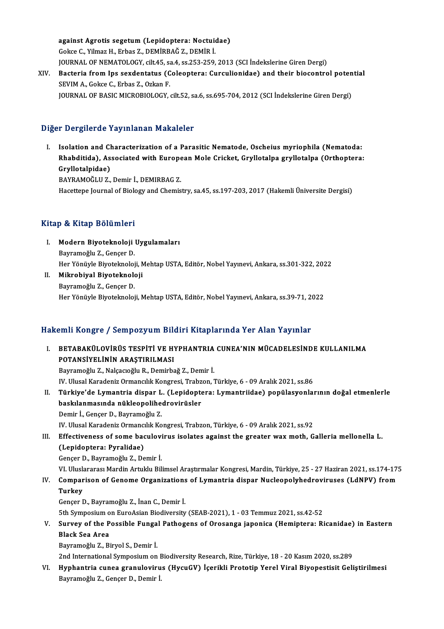against Agrotis segetum(Lepidoptera: Noctuidae) GokceC.,YilmazH.,Erbas Z.,DEMİRBAĞZ.,DEMİRİ. against Agrotis segetum (Lepidoptera: Noctuidae)<br>Gokce C., Yilmaz H., Erbas Z., DEMİRBAĞ Z., DEMİR İ.<br>JOURNAL OF NEMATOLOGY, cilt.45, sa.4, ss.253-259, 2013 (SCI İndekslerine Giren Dergi)<br>Bastaria fram Ins savdantatus (Cal Gokce C., Yilmaz H., Erbas Z., DEMİRBAĞ Z., DEMİR İ.<br>JOURNAL OF NEMATOLOGY, cilt.45, sa.4, ss.253-259, 2013 (SCI İndekslerine Giren Dergi)<br>XIV. Bacteria from Ips sexdentatus (Coleoptera: Curculionidae) and their biocontrol

JOURNAL OF NEMATOLOGY, cilt.45, sa<br>Bacteria from Ips sexdentatus (C<br>SEVIM A., Gokce C., Erbas Z., Ozkan F.<br>JOUPNAL OF PASIC MICROPIOLOCY Bacteria from Ips sexdentatus (Coleoptera: Curculionidae) and their biocontrol poten<br>SEVIM A., Gokce C., Erbas Z., Ozkan F.<br>JOURNAL OF BASIC MICROBIOLOGY, cilt.52, sa.6, ss.695-704, 2012 (SCI İndekslerine Giren Dergi) JOURNAL OF BASIC MICROBIOLOGY, cilt.52, sa.6, ss.695-704, 2012 (SCI İndekslerine Giren Dergi)<br>Diğer Dergilerde Yayınlanan Makaleler

I. Isolation and Characterization of a Parasitic Nematode, Oscheius myriophila (Nematoda: r Bergherde Tuymmanan Mandreier<br>Isolation and Characterization of a Parasitic Nematode, Oscheius myriophila (Nematoda:<br>Rhabditida), Associated with European Mole Cricket, Gryllotalpa gryllotalpa (Orthoptera:<br>Cryllotalpidae Isolation and Cl<br>Rhabditida), As<br>Gryllotalpidae)<br>RAVRAMOČLU 7 Rhabditida), Associated with Europe<br>Gryllotalpidae)<br>BAYRAMOĞLU Z., Demir İ., DEMIRBAG Z.<br>Hassttana Jaurnal of Bialagu and Chamis Gryllotalpidae)<br>BAYRAMOĞLU Z., Demir İ., DEMIRBAG Z.<br>Hacettepe Journal of Biology and Chemistry, sa.45, ss.197-203, 2017 (Hakemli Üniversite Dergisi)

# Kitap & Kitap Bölümleri

- itap & Kitap Bölümleri<br>I. Modern Biyoteknoloji Uygulamaları<br>Raymamağlu Z. Cansar D p & rreap Bordmore<br>Modern Biyoteknoloji<br>Bayramoğlu Z., Gençer D.<br>Her Vönüvle Biyoteknoloj Modern Biyoteknoloji Uygulamaları<br>Bayramoğlu Z., Gençer D.<br>Her Yönüyle Biyoteknoloji, Mehtap USTA, Editör, Nobel Yayınevi, Ankara, ss.301-322, 2022<br>Mikrobiyal Biyoteknoloji Bayramoğlu Z., Gençer D.<br>Her Yönüyle Biyoteknoloji, M.<br>II. Mikrobiyal Biyoteknoloji<br>Bayramoğlu Z., Gençer D.
- Her Yönüyle Biyoteknoloj<br>Mikrobiyal Biyoteknolo<br>Bayramoğlu Z., Gençer D.<br>Her Yönüyle Biyoteknoloj Her Yönüyle Biyoteknoloji, Mehtap USTA, Editör, Nobel Yayınevi, Ankara, ss.39-71, 2022

# Hakemli Kongre / Sempozyum Bildiri Kitaplarında Yer Alan Yayınlar

I. BETABAKÜLOVİRÜS TESPİTİ VE HYPHANTRIA CUNEA'NIN MÜCADELESİNDE KULLANILMA POTANSİYELİNİN ARAŞTIRILMASI

Bayramoğlu Z., Nalçacıoğlu R., Demirbağ Z., Demir İ.

IV.UlusalKaradenizOrmancılıkKongresi,Trabzon,Türkiye,6 -09Aralık2021, ss.86

II. Türkiye'de Lymantria dispar L. (Lepidoptera: Lymantriidae) popülasyonlarının doğal etmenlerle IV. Ulusal Karadeniz Ormancılık Kongresi, Trabz<br>Türkiye'de Lymantria dispar L. (Lepidopte<br>baskılanmasında nükleopolihedrovirüsler<br>Demir L. Concer D. Bayrameğlu Z Türkiye'de Lymantria dispar L<br>baskılanmasında nükleopolihe<br>Demir İ., Gençer D., Bayramoğlu Z.<br>W. Ulucal Karadaniz Ormangılık Ko Demir İ., Gençer D., Bayramoğlu Z.<br>IV. Ulusal Karadeniz Ormancılık Kongresi, Trabzon, Türkiye, 6 - 09 Aralık 2021, ss.92 Demir İ., Gençer D., Bayramoğlu Z.<br>IV. Ulusal Karadeniz Ormancılık Kongresi, Trabzon, Türkiye, 6 - 09 Aralık 2021, ss.92<br>III. Effectiveness of some baculovirus isolates against the greater wax moth, Galleria mellonella

# (Lepidoptera: Pyralidae)<br>Gençer D., Bayramoğlu Z., Demir İ. Effectiveness of some baculovi<br>(Lepidoptera: Pyralidae)<br>Gençer D., Bayramoğlu Z., Demir İ.<br>VI Uluslararası Mardin Artuklu Bil (Lepidoptera: Pyralidae)<br>Gençer D., Bayramoğlu Z., Demir İ.<br>VI. Uluslararası Mardin Artuklu Bilimsel Araştırmalar Kongresi, Mardin, Türkiye, 25 - 27 Haziran 2021, ss.174-175<br>Comparison of Conome Organisatione of Lymantria

Gençer D., Bayramoğlu Z., Demir İ.<br>1791-Y. Uluslararası Mardin Artuklu Bilimsel Araştırmalar Kongresi, Mardin, Türkiye, 25 - 27 Haziran 2021, ss<br>1791-Y. Comparison of Genome Organizations of Lymantria dispar Nucleopolyhedr VI. Ulusla<br>Compar<br>Turkey<br>Conser I IV. Comparison of Genome Organizations of Lymantria dispar Nucleopolyhedroviruses (LdNPV) from<br>Turkey<br>Gençer D., Bayramoğlu Z., İnan C., Demir İ. Turkey<br>Gençer D., Bayramoğlu Z., İnan C., Demir İ.<br>5th Symposium on EuroAsian Biodiversity (SEAB-2021), 1 - 03 Temmuz 2021, ss.42-52<br>Sunyay of the Bossible Eungel Pethogens of Oresange innenise (Hemintere: Pi

Gençer D., Bayramoğlu Z., İnan C., Demir İ.<br>5th Symposium on EuroAsian Biodiversity (SEAB-2021), 1 - 03 Temmuz 2021, ss.42-52<br>V. Survey of the Possible Fungal Pathogens of Orosanga japonica (Hemiptera: Ricanidae) in Ea 5th Symposium o<br>Survey of the P<br>Black Sea Area<br>Payramoğlu 7, Pi Survey of the Possible Funga<br>Black Sea Area<br>Bayramoğlu Z., Biryol S., Demir İ.<br>2nd International Sumnesium on Black Sea Area<br>Bayramoğlu Z., Biryol S., Demir İ.<br>2nd International Symposium on Biodiversity Research, Rize, Türkiye, 18 - 20 Kasım 2020, ss.289

Bayramoğlu Z., Biryol S., Demir İ.<br>2nd International Symposium on Biodiversity Research, Rize, Türkiye, 18 - 20 Kasım 2020, ss.289<br>19 - VI. Hyphantria cunea granulovirus (HycuGV) İçerikli Prototip Yerel Viral Biyopesti 2nd International Symposium on I<br><mark>Hyphantria cunea granuloviru</mark><br>Bayramoğlu Z., Gençer D., Demir İ.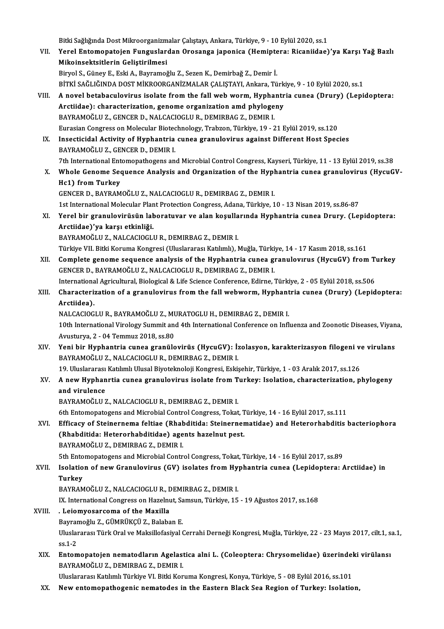Bitki Sağlığında Dost Mikroorganizmalar Çalıştayı, Ankara, Türkiye, 9 - 10 Eylül 2020, ss.1<br>Yanal Entemanatejan Eunguelandan Onesanga ianenise (Hemintana: Bisaniidee)

- VII. Yerel Entomopatojen Funguslardan Orosanga japonica (Hemiptera: Ricaniidae)'ya Karşı Yağ Bazlı<br>Mikoinsektsitlerin Geliştirilmesi Bitki Sağlığında Dost Mikroorganizm<br>Yerel Entomopatojen Funguslar<br>Mikoinsektsitlerin Geliştirilmesi<br>Biwol S. Günev E. Feki A. Beyramağ BiryolS.,GüneyE.,EskiA.,Bayramoğlu Z.,SezenK.,Demirbağ Z.,Demir İ. Mikoinsektsitlerin Geliştirilmesi<br>Biryol S., Güney E., Eski A., Bayramoğlu Z., Sezen K., Demirbağ Z., Demir İ.<br>BİTKİ SAĞLIĞINDA DOST MİKROORGANİZMALAR ÇALIŞTAYI, Ankara, Türkiye, 9 - 10 Eylül 2020, ss.1<br>A novel betabasıyle
- VIII. A novel betabaculovirus isolate from the fall web worm, Hyphantria cunea (Drury) (Lepidoptera: BİTKİ SAĞLIĞINDA DOST MİKROORGANİZMALAR ÇALIŞTAYI, Ankara, Türk<br>A novel betabaculovirus isolate from the fall web worm, Hyphantr<br>Arctiidae): characterization, genome organization amd phylogeny<br>RAYRAMOČLU Z. CENCER D. NALCA Arctiidae): characterization, genome organization amd phylogeny<br>BAYRAMOĞLU Z., GENCER D., NALCACIOGLU R., DEMIRBAG Z., DEMIR I. EurasianCongress onMolecularBiotechnology,Trabzon,Türkiye,19 -21Eylül2019, ss.120 BAYRAMOĞLU Z., GENCER D., NALCACIOGLU R., DEMIRBAG Z., DEMIR I.<br>Eurasian Congress on Molecular Biotechnology, Trabzon, Türkiye, 19 - 21 Eylül 2019, ss.120<br>IX. Insecticidal Activity of Hyphantria cunea granulovirus against
	- Eurasian Congress on Molecular Biotec<br>Insecticidal Activity of Hyphantria<br>BAYRAMOĞLU Z., GENCER D., DEMIR I.<br>7th International Entemanathegens an Insecticidal Activity of Hyphantria cunea granulovirus against Different Host Species<br>BAYRAMOĞLU Z., GENCER D., DEMIR I.<br>7th International Entomopathogens and Microbial Control Congress, Kayseri, Türkiye, 11 - 13 Eylül 201
	- BAYRAMOĞLU Z., GENCER D., DEMIR I.<br>7th International Entomopathogens and Microbial Control Congress, Kayseri, Türkiye, 11 13 Eylül 2019, ss.38<br>8. Whole Genome Sequence Analysis and Organization of the Hyphantria cune 7th International Ent<br>Whole Genome Sec<br>Hc1) from Turkey<br>CENCER D. BAYBAM Hc1) from Turkey<br>GENCER D., BAYRAMOĞLU Z., NALCACIOGLU R., DEMIRBAG Z., DEMIR I.
		- 1st International Molecular Plant Protection Congress, Adana, Türkiye, 10 13 Nisan 2019, ss.86-87
	- GENCER D., BAYRAMOĞLU Z., NALCACIOGLU R., DEMIRBAG Z., DEMIR I.<br>1st International Molecular Plant Protection Congress, Adana, Türkiye, 10 13 Nisan 2019, ss.86-87<br>XI. Yerel bir granulovirüsün laboratuvar ve alan koşul 1st International Molecular Plan<br>Yerel bir granulovirüsün lah<br>Arctiidae)'ya karşı etkinliği.<br>BAVRAMOĞLU 7. NALCAGUQCLI Yerel bir granulovirüsün laboratuvar ve alan koşulla<br>Arctiidae)'ya karşı etkinliği.<br>BAYRAMOĞLU Z., NALCACIOGLU R., DEMIRBAG Z., DEMIR I.<br>Türkiye VII. Bitki Keruma Kanaresi (Illuslararesi Katlunh). I Arctiidae)'ya karşı etkinliği.<br>BAYRAMOĞLU Z., NALCACIOGLU R., DEMIRBAG Z., DEMIR I.<br>Türkiye VII. Bitki Koruma Kongresi (Uluslararası Katılımlı), Muğla, Türkiye, 14 - 17 Kasım 2018, ss.161<br>Camplata sanama asayıspas analysis

- BAYRAMOĞLU Z., NALCACIOGLU R., DEMIRBAG Z., DEMIR I.<br>Türkiye VII. Bitki Koruma Kongresi (Uluslararası Katılımlı), Muğla, Türkiye, 14 17 Kasım 2018, ss.161<br>XII. Complete genome sequence analysis of the Hyphantria cunea gr Türkiye VII. Bitki Koruma Kongresi (Uluslararası Katılımlı), Muğla, Türki<br>Complete genome sequence analysis of the Hyphantria cunea gi<br>GENCER D., BAYRAMOĞLU Z., NALCACIOGLU R., DEMIRBAG Z., DEMIR I.<br>International Agricultu Complete genome sequence analysis of the Hyphantria cunea granulovirus (HycuGV) from T<br>GENCER D., BAYRAMOĞLU Z., NALCACIOGLU R., DEMIRBAG Z., DEMIR I.<br>International Agricultural, Biological & Life Science Conference, Edirn
- GENCER D., BAYRAMOĞLU Z., NALCACIOGLU R., DEMIRBAG Z., DEMIR I.<br>International Agricultural, Biological & Life Science Conference, Edirne, Türkiye, 2 05 Eylül 2018, ss.506<br>XIII. Characterization of a granulovirus from Internationa<br>Characteri:<br>Arctiidea).<br>NALCACIOC

Characterization of a granulovirus from the fall webworm, Hyphant<br>Arctiidea).<br>NALCACIOGLU R., BAYRAMOĞLU Z., MURATOGLU H., DEMIRBAG Z., DEMIR I.<br>10th International Virology Summit and 4th International Conference on Infl Arctiidea).<br>10th International Virology Summit and 4th International Conference on Influenza and Zoonotic Diseases, Viyana,<br>10th International Virology Summit and 4th International Conference on Influenza and Zoonotic Dise NALCACIOGLU R., BAYRAMOĞLU Z., MURATOGLU H., DEMIRBAG Z., DEMIR I. 10th International Virology Summit and 4th International Conference on Influenza and Zoonotic Diseases, Viyan<br>Avusturya, 2 - 04 Temmuz 2018, ss.80<br>XIV. Yeni bir Hyphantria cunea granülovirüs (HycuGV): İzolasyon, karakteriz

Avusturya, 2 - 04 Temmuz 2018, ss.80<br>Yeni bir Hyphantria cunea granülovirüs (HycuGV): İ:<br>BAYRAMOĞLU Z., NALCACIOGLU R., DEMIRBAG Z., DEMIR I.<br>10 Uluslarares: Katilunlı Ulusal Biyatelmaleji Kanaresi, Eski Yeni bir Hyphantria cunea granülovirüs (HycuGV): İzolasyon, karakterizasyon filogeni ve<br>BAYRAMOĞLU Z., NALCACIOGLU R., DEMIRBAG Z., DEMIR I.<br>19. Uluslararası Katılımlı Ulusal Biyoteknoloji Kongresi, Eskişehir, Türkiye, 1 -

BAYRAMOĞLU Z., NALCACIOGLU R., DEMIRBAG Z., DEMIR I.<br>19. Uluslararası Katılımlı Ulusal Biyoteknoloji Kongresi, Eskişehir, Türkiye, 1 - 03 Aralık 2017, ss.126<br>XV. A new Hyphanrtia cunea granulovirus isolate from Turkey: 19. Uluslararası<br>A new Hyphan<br>and virulence<br>PAVPAMOČULI A new Hyphanrtia cunea granulovirus isolate from T<br>and virulence<br>BAYRAMOĞLU Z., NALCACIOGLU R., DEMIRBAG Z., DEMIR I.<br><sup>6th Entomonatogons and Misrobial Control Congress Takat</sup> and virulence<br>BAYRAMOĞLU Z., NALCACIOGLU R., DEMIRBAG Z., DEMIR I.<br>6th Entomopatogens and Microbial Control Congress, Tokat, Türkiye, 14 - 16 Eylül 2017, ss.111<br>Efficesy of Steinerneme felties (Phebditide: Steinernemetides

BAYRAMOĞLU Z., NALCACIOGLU R., DEMIRBAG Z., DEMIR I.<br>6th Entomopatogens and Microbial Control Congress, Tokat, Türkiye, 14 - 16 Eylül 2017, ss.111<br>XVI. Efficacy of Steinernema feltiae (Rhabditida: Steinernematidae) and Het 6th Entomopatogens and Microbial Control Congress, Tokat, T<br>Efficacy of Steinernema feltiae (Rhabditida: Steinerner<br>(Rhabditida: Heterorhabditidae) agents hazelnut pest.<br>RAYRAMOČLUZ, DEMIRRAC Z, DEMIR I BAYRAMOĞLU Z., DEMIRBAG Z., DEMIR I. (Rhabditida: Heterorhabditidae) agents hazelnut pest.<br>BAYRAMOĞLU Z., DEMIRBAG Z., DEMIR I.<br>5th Entomopatogens and Microbial Control Congress, Tokat, Türkiye, 14 - 16 Eylül 2017, ss.89<br>Isolation of new Cranulewirus (CV) iso BAYRAMOĞLU Z., DEMIRBAG Z., DEMIR I.<br>5th Entomopatogens and Microbial Control Congress, Tokat, Türkiye, 14 - 16 Eylül 2017, ss.89<br>XVII. Isolation of new Granulovirus (GV) isolates from Hyphantria cunea (Lepidoptera: Ar

**5th Ento<br>Isolatio<br>Turkey<br>PAVPAM** 

Isolation of new Granulovirus (GV) isolates from Hy<br>Turkey<br>BAYRAMOĞLU Z., NALCACIOGLU R., DEMIRBAG Z., DEMIR I.<br>IV. International Congress on Hogelput, Semeun, Türkiye, 15

Turkey<br>BAYRAMOĞLU Z., NALCACIOGLU R., DEMIRBAG Z., DEMIR I.<br>IX. International Congress on Hazelnut, Samsun, Türkiye, 15 - 19 Ağustos 2017, ss.168<br>- Leiamysearsema of the Mayille.

- BAYRAMOĞLU Z., NALCACIOGLU R., DEMIRBAG Z., DEMIR I.<br>IX. International Congress on Hazelnut, Samsun, Türkiye, 15<br>XVIII. . Leiomyosarcoma of the Maxilla<br>Bavramoğlu Z., GÜMRÜKCÜ Z., Balaban E. IX. International Congress on Hazelnut, Sa<br>. Leiomyosarcoma of the Maxilla<br>Bayramoğlu Z., GÜMRÜKÇÜ Z., Balaban E.<br>Uluslarares: Türk Oral ve Maksillefesiyal ( . Leiomyosarcoma of the Maxilla<br>Bayramoğlu Z., GÜMRÜKÇÜ Z., Balaban E.<br>Uluslararası Türk Oral ve Maksillofasiyal Cerrahi Derneği Kongresi, Muğla, Türkiye, 22 - 23 Mayıs 2017, cilt.1, sa.1, Bayrar<br>Uluslai<br>ss.1-2<br>Enter Uluslararası Türk Oral ve Maksillofasiyal Cerrahi Derneği Kongresi, Muğla, Türkiye, 22 - 23 Mayıs 2017, cilt.1, s:<br>Ss.1-2<br>XIX. Entomopatojen nematodların Agelastica alni L. (Coleoptera: Chrysomelidae) üzerindeki virülansı<br>
	- ss.1-2<br><mark>Entomopatojen nematodların Agelas</mark>t<br>BAYRAMOĞLU Z., DEMIRBAG Z., DEMIR I.<br>Uluelarares: Katılımlı Türkiye VI. Bitki Ker Entomopatojen nematodların Agelastica alni L. (Coleoptera: Chrysomelidae) üzerindel<br>BAYRAMOĞLU Z., DEMIRBAG Z., DEMIR I.<br>Uluslararası Katılımlı Türkiye VI. Bitki Koruma Kongresi, Konya, Türkiye, 5 - 08 Eylül 2016, ss.101<br>N BAYRAMOĞLU Z., DEMIRBAG Z., DEMIR I.<br>19 Uluslararası Katılımlı Türkiye VI. Bitki Koruma Kongresi, Konya, Türkiye, 5 - 08 Eylül 2016, ss.101<br>19 XX. New entomopathogenic nematodes in the Eastern Black Sea Region of Turke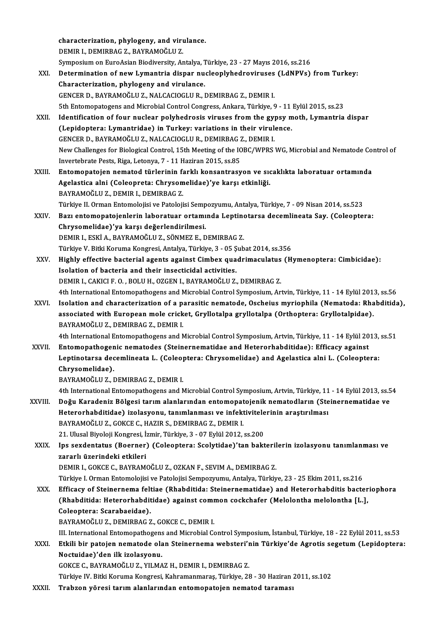characterization, phylogeny, and virulance.<br>REMIR L REMIRRAC 7, RAYRAMOČLU 7 characterization, phylogeny, and viru<br>DEMIR I., DEMIRBAG Z., BAYRAMOĞLU Z.<br>Sympesium en Eurodsian Biadiyensity, Ar characterization, phylogeny, and virulance.<br>DEMIR I., DEMIRBAG Z., BAYRAMOĞLU Z.<br>Symposium on EuroAsian Biodiversity, Antalya, Türkiye, 23 - 27 Mayıs 2016, ss.216<br>Determination of new Lymontria dianer nucleonlyhedrovinuses DEMIR I., DEMIRBAG Z., BAYRAMOĞLU Z.<br>Symposium on EuroAsian Biodiversity, Antalya, Türkiye, 23 - 27 Mayıs 2016, ss.216<br>XXI. Determination of new Lymantria dispar nucleoplyhedroviruses (LdNPVs) from Turkey:<br>Chanatarizat Symposium on EuroAsian Biodiversity, Antalya, 1<br>Determination of new Lymantria dispar nu<br>Characterization, phylogeny and virulance.<br>CENCEP D. PAYPAMOČLUZ, NALCACIOCLUP, 1 Determination of new Lymantria dispar nucleoplyhedroviruses<br>Characterization, phylogeny and virulance.<br>GENCER D., BAYRAMOĞLU Z., NALCACIOGLU R., DEMIRBAG Z., DEMIR I.<br>Eth Entemenategens and Missobial Centrel Congress. Anka 6) Characterization, phylogeny and virulance.<br>19th Conterator D., BAYRAMOĞLU Z., NALCACIOGLU R., DEMIRBAG Z., DEMIR I.<br>19th Entomopatogens and Microbial Control Congress, Ankara, Türkiye, 9 - 11 Eylül 2015, ss.23 GENCER D., BAYRAMOĞLU Z., NALCACIOGLU R., DEMIRBAG Z., DEMIR I.<br>5th Entomopatogens and Microbial Control Congress, Ankara, Türkiye, 9 - 11 Eylül 2015, ss.23<br>XXII. Identification of four nuclear polyhedrosis viruses from th 5th Entomopatogens and Microbial Control Congress, Ankara, Türkiye, 9 - 11<br>Identification of four nuclear polyhedrosis viruses from the gypsy m<br>(Lepidoptera: Lymantridae) in Turkey: variations in their virulence.<br>CENCEP D. Identification of four nuclear polyhedrosis viruses from the gy<br>(Lepidoptera: Lymantridae) in Turkey: variations in their virul<br>GENCER D., BAYRAMOĞLU Z., NALCACIOGLU R., DEMIRBAG Z., DEMIR I.<br>Nau Challanges for Biological (Lepidoptera: Lymantridae) in Turkey: variations in their virulence.<br>GENCER D., BAYRAMOĞLU Z., NALCACIOGLU R., DEMIRBAG Z., DEMIR I.<br>New Challenges for Biological Control, 15th Meeting of the IOBC/WPRS WG, Microbial and Ne GENCER D., BAYRAMOĞLU Z., NALCACIOGLU R., DEMIRBAG Z., DEMIR I. XXIII. Entomopatojen nematod türlerinin farklı konsantrasyon ve sıcaklıkta laboratuar ortamında Invertebrate Pests, Riga, Letonya, 7 - 11 Haziran 2015, ss.85<br>Entomopatojen nematod türlerinin farklı konsantrasyon ve sıq<br>Agelastica alni (Coleopreta: Chrysomelidae)'ye karşı etkinliği.<br>RAYRAMOĞLU Z. DEMIR L. DEMIRRAC Z. Entomopatojen nematod türlerinin fa<br>Agelastica alni (Coleopreta: Chrysom<br>BAYRAMOĞLU Z., DEMIR I., DEMIRBAG Z.<br>Türkiye II. Orman Entemalajiai ve Batalaji Agelastica alni (Coleopreta: Chrysomelidae)'ye karşı etkinliği.<br>BAYRAMOĞLU Z., DEMIR I., DEMIRBAG Z.<br>Türkiye II. Orman Entomolojisi ve Patolojisi Sempozyumu, Antalya, Türkiye, 7 - 09 Nisan 2014, ss.523<br>Begi entemenatejenle BAYRAMOĞLU Z., DEMIR I., DEMIRBAG Z.<br>Türkiye II. Orman Entomolojisi ve Patolojisi Sempozyumu, Antalya, Türkiye, 7 - 09 Nisan 2014, ss.523<br>XXIV. Bazı entomopatojenlerin laboratuar ortamında Leptinotarsa decemlineata Say Türkiye II. Orman Entomolojisi ve Patolojisi Semp<br>Bazı entomopatojenlerin laboratuar ortamı<br>Chrysomelidae)'ya karşı değerlendirilmesi.<br>DEMIR L. ESKİ A. RAYRAMOĞLU Z. SÖNMEZ E. D Bazı entomopatojenlerin laboratuar ortamında Leptino<br>Chrysomelidae)'ya karşı değerlendirilmesi.<br>DEMIR I., ESKİ A., BAYRAMOĞLU Z., SÖNMEZ E., DEMIRBAG Z.<br>Türkiye V. Bitki Kenume Kongresi, Antelya Türkiye, 2., OE Sub Chrysomelidae)'ya karşı değerlendirilmesi.<br>DEMIR I., ESKİ A., BAYRAMOĞLU Z., SÖNMEZ E., DEMIRBAG Z.<br>Türkiye V. Bitki Koruma Kongresi, Antalya, Türkiye, 3 - 05 Şubat 2014, ss.356<br>Hishlu offestive bastarial asenta aseinet Gi DEMIR I., ESKİ A., BAYRAMOĞLU Z., SÖNMEZ E., DEMIRBAG Z.<br>Türkiye V. Bitki Koruma Kongresi, Antalya, Türkiye, 3 - 05 Şubat 2014, ss.356<br>XXV. Highly effective bacterial agents against Cimbex quadrimaculatus (Hymenoptera: Türkiye V. Bitki Koruma Kongresi, Antalya, Türkiye, 3 - 05 Ş<br>Highly effective bacterial agents against Cimbex qua<br>Isolation of bacteria and their insecticidal activities.<br>DEMIP L CAKICLE O. POLUH, OZCENT PAYPAMOČLUZ Highly effective bacterial agents against Cimbex quadrimaculatus<br>Isolation of bacteria and their insecticidal activities.<br>DEMIR I., CAKICI F. O. , BOLU H., OZGEN I., BAYRAMOĞLU Z., DEMIRBAG Z.<br>4th International Entemenathe Isolation of bacteria and their insecticidal activities.<br>DEMIR I., CAKICI F. O. , BOLU H., OZGEN I., BAYRAMOĞLU Z., DEMIRBAG Z.<br>4th International Entomopathogens and Microbial Control Symposium, Artvin, Türkiye, 11 - 14 Ey DEMIR I., CAKICI F. O. , BOLU H., OZGEN I., BAYRAMOĞLU Z., DEMIRBAG Z.<br>4th International Entomopathogens and Microbial Control Symposium, Artvin, Türkiye, 11 - 14 Eylül 2013, ss.56<br>8XVI. Isolation and characterization of a 4th International Entomopathogens and Microbial Control Symposium, Artvin, Türkiye, 11 - 14 Eylül 201<br>Isolation and characterization of a parasitic nematode, Oscheius myriophila (Nematoda: Rha<br>associated with European mole Isolation and characterization of a pa<br>associated with European mole crick<br>BAYRAMOĞLU Z., DEMIRBAG Z., DEMIR I.<br>4th International Entemanathegens and A associated with European mole cricket, Gryllotalpa gryllotalpa (Orthoptera: Gryllotalpidae).<br>BAYRAMOĞLU Z., DEMIRBAG Z., DEMIR I.<br>4th International Entomopathogens and Microbial Control Symposium, Artvin, Türkiye, 11 - 14 BAYRAMOĞLU Z., DEMIRBAG Z., DEMIR I.<br>4th International Entomopathogens and Microbial Control Symposium, Artvin, Türkiye, 11 - 14 Eylül 20<br>8XVII. Entomopathogenic nematodes (Steinernematidae and Heterorhabditidae): Efficacy 4th International Entomopathogens and Microbial Control Symposium, Artvin, Türkiye, 11 - 14 Eylül 2013,<br>Entomopathogenic nematodes (Steinernematidae and Heterorhabditidae): Efficacy against<br>Leptinotarsa decemlineata L. (Co Entomopathogen<br>Leptinotarsa dec<br>Chrysomelidae).<br>PAYPAMOČLUZ I Leptinotarsa decemlineata L. (Coleoptera: Chrysomelidae) and Agelastica alni L. (Coleoptera:<br>Chrysomelidae).<br>BAYRAMOĞLU Z., DEMIRBAG Z., DEMIR I. Chrysomelidae).<br>BAYRAMOĞLU Z., DEMIRBAG Z., DEMIR I.<br>4th International Entomopathogens and Microbial Control Symposium, Artvin, Türkiye, 11 - 14 Eylül 2013, ss.54<br>Değu Karadeniz Bölgesi tanım alanlanından entomonatoienik n BAYRAMOĞLU Z., DEMIRBAG Z., DEMIR I.<br>4th International Entomopathogens and Microbial Control Symposium, Artvin, Türkiye, 11 - 14 Eylül 2013, ss.5<br>3XVIII. Doğu Karadeniz Bölgesi tarım alanlarından entomopatojenik nemato 4th International Entomopathogens and Microbial Control Symposium, Artvin, Türkiye, 11<br>Doğu Karadeniz Bölgesi tarım alanlarından entomopatojenik nematodların (Ste<br>Heterorhabditidae) izolasyonu, tanımlanması ve infektivitel Doğu Karadeniz Bölgesi tarım alanlarından entomopat<br>Heterorhabditidae) izolasyonu, tanımlanması ve infekt<br>BAYRAMOĞLU Z., GOKCE C., HAZIR S., DEMIRBAG Z., DEMIR I.<br>21 Ulucel Bivoleji Kongresi, İsmin Türkiye 2., 07 Erlül 201 Heterorhabditidae) izolasyonu, tanımlanması ve infektivitele<br>BAYRAMOĞLU Z., GOKCE C., HAZIR S., DEMIRBAG Z., DEMIR I.<br>21. Ulusal Biyoloji Kongresi, İzmir, Türkiye, 3 - 07 Eylül 2012, ss.200<br>Ins saxdantatus (Boarnar) (Calaa BAYRAMOĞLU Z., GOKCE C., HAZIR S., DEMIRBAG Z., DEMIR I.<br>21. Ulusal Biyoloji Kongresi, İzmir, Türkiye, 3 - 07 Eylül 2012, ss.200<br>XXIX. Ips sexdentatus (Boerner) (Coleoptera: Scolytidae)'tan bakterilerin izolasyonu tanı 21. Ulusal Biyoloji Kongresi, İ:<br>Ips sexdentatus (Boerner)<br>zararlı üzerindeki etkileri<br>DEMIP L COKCE C. BAYBAM Ips sexdentatus (Boerner) (Coleoptera: Scolytidae)'tan bakteril<br>zararlı üzerindeki etkileri<br>DEMIR I., GOKCE C., BAYRAMOĞLU Z., OZKAN F., SEVIM A., DEMIRBAG Z.<br>Türkiye I. Orman Entemelejisi ve Batelejisi Semnegyumu, Antelye zararlı üzerindeki etkileri<br>DEMIR I., GOKCE C., BAYRAMOĞLU Z., OZKAN F., SEVIM A., DEMIRBAG Z.<br>Türkiye I. Orman Entomolojisi ve Patolojisi Sempozyumu, Antalya, Türkiye, 23 - 25 Ekim 2011, ss.216 DEMIR I., GOKCE C., BAYRAMOĞLU Z., OZKAN F., SEVIM A., DEMIRBAG Z.<br>Türkiye I. Orman Entomolojisi ve Patolojisi Sempozyumu, Antalya, Türkiye, 23 - 25 Ekim 2011, ss.216<br>XXX. Efficacy of Steinernema feltiae (Rhabditida: S Türkiye I. Orman Entomolojisi ve Patolojisi Sempozyumu, Antalya, Türkiye, 23 - 25 Ekim 2011, ss.216<br>Efficacy of Steinernema feltiae (Rhabditida: Steinernematidae) and Heterorhabditis bacter<br>(Rhabditida: Heterorhabditidae) Efficacy of Steinernema felt<br>(Rhabditida: Heterorhabdit<br>Coleoptera: Scarabaeidae).<br>PAVPAMOČLUZ, DEMIPPAC 7 (Rhabditida: Heterorhabditidae) against common cockchafer (Melolontha melolontha [L.],<br>Coleoptera: Scarabaeidae).<br>BAYRAMOĞLU Z., DEMIRBAG Z., GOKCE C., DEMIR I. Coleoptera: Scarabaeidae).<br>BAYRAMOĞLU Z., DEMIRBAG Z., GOKCE C., DEMIR I.<br>III. International Entomopathogens and Microbial Control Symposium, İstanbul, Türkiye, 18 - 22 Eylül 2011, ss.53<br>Etkili bir natojan namatada alan St BAYRAMOĞLU Z., DEMIRBAG Z., GOKCE C., DEMIR I.<br>III. International Entomopathogens and Microbial Control Symposium, İstanbul, Türkiye, 18 - 22 Eylül 2011, ss.53<br>XXXI. Etkili bir patojen nematode olan Steinernema webster III. International Entomopathogens<br>Etkili bir patojen nematode ola<br>Noctuidae)'den ilk izolasyonu.<br>COKCE C. BAYBAMOČLU 7, YU MA Etkili bir patojen nematode olan Steinernema websteri'ı<br>Noctuidae)'den ilk izolasyonu.<br>GOKCE C., BAYRAMOĞLU Z., YILMAZ H., DEMIR I., DEMIRBAG Z.<br>Türkiye IV. Bitki Konuma Kongresi Kahramannanas Türkiye 28 Noctuidae)'den ilk izolasyonu.<br>GOKCE C., BAYRAMOĞLU Z., YILMAZ H., DEMIR I., DEMIRBAG Z.<br>Türkiye IV. Bitki Koruma Kongresi, Kahramanmaraş, Türkiye, 28 - 30 Haziran 2011, ss.102 XXXII. Trabzon yöresi tarım alanlarından entomopatojen nematod taraması